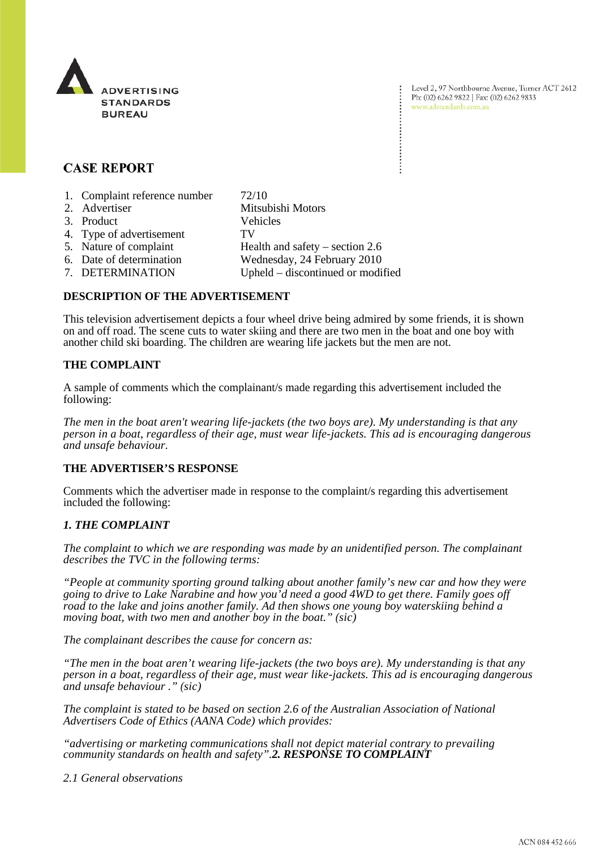

Level 2, 97 Northbourne Avenue, Turner ACT 2612 Ph: (02) 6262 9822 | Fax: (02) 6262 9833 www.adstandards.com.au

# **CASE REPORT**

1. Complaint reference number 72/10 2. Advertiser Mitsubishi Motors 3. Product Vehicles 4. Type of advertisement TV 5. Nature of complaint Health and safety – section 2.6<br>6. Date of determination Wednesday, 24 February 2010 Wednesday, 24 February 2010 7. DETERMINATION Upheld – discontinued or modified

## **DESCRIPTION OF THE ADVERTISEMENT**

This television advertisement depicts a four wheel drive being admired by some friends, it is shown on and off road. The scene cuts to water skiing and there are two men in the boat and one boy with another child ski boarding. The children are wearing life jackets but the men are not.

### **THE COMPLAINT**

A sample of comments which the complainant/s made regarding this advertisement included the following:

*The men in the boat aren't wearing life-jackets (the two boys are). My understanding is that any person in a boat, regardless of their age, must wear life-jackets. This ad is encouraging dangerous and unsafe behaviour.*

### **THE ADVERTISER'S RESPONSE**

Comments which the advertiser made in response to the complaint/s regarding this advertisement included the following:

### *1. THE COMPLAINT*

*The complaint to which we are responding was made by an unidentified person. The complainant describes the TVC in the following terms:*

*"People at community sporting ground talking about another family's new car and how they were going to drive to Lake Narabine and how you'd need a good 4WD to get there. Family goes off road to the lake and joins another family. Ad then shows one young boy waterskiing behind a moving boat, with two men and another boy in the boat." (sic)*

*The complainant describes the cause for concern as:*

*"The men in the boat aren't wearing life-jackets (the two boys are). My understanding is that any person in a boat, regardless of their age, must wear like-jackets. This ad is encouraging dangerous and unsafe behaviour ." (sic)*

*The complaint is stated to be based on section 2.6 of the Australian Association of National Advertisers Code of Ethics (AANA Code) which provides:*

*"advertising or marketing communications shall not depict material contrary to prevailing community standards on health and safety".2. RESPONSE TO COMPLAINT*

*2.1 General observations*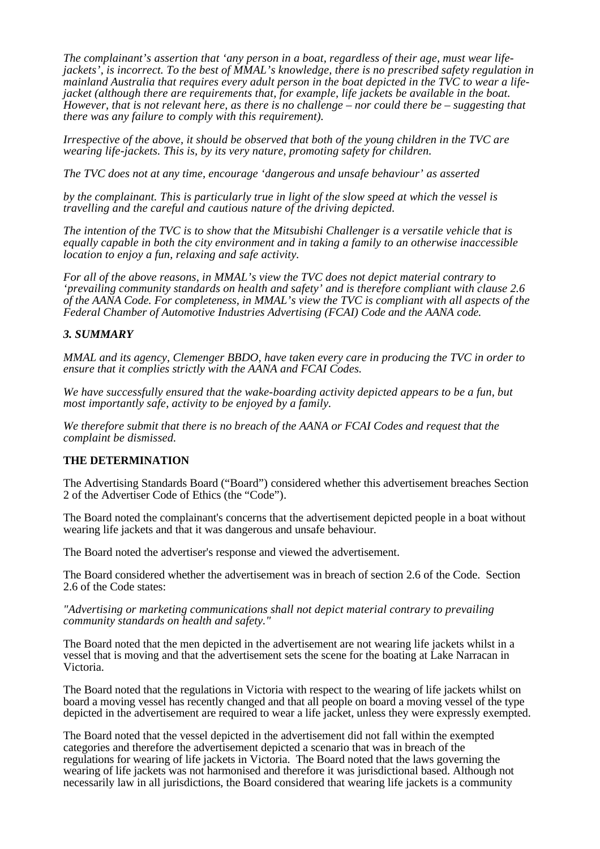*The complainant's assertion that 'any person in a boat, regardless of their age, must wear lifejackets', is incorrect. To the best of MMAL's knowledge, there is no prescribed safety regulation in mainland Australia that requires every adult person in the boat depicted in the TVC to wear a lifejacket (although there are requirements that, for example, life jackets be available in the boat. However, that is not relevant here, as there is no challenge – nor could there be – suggesting that there was any failure to comply with this requirement).*

*Irrespective of the above, it should be observed that both of the young children in the TVC are wearing life-jackets. This is, by its very nature, promoting safety for children.*

*The TVC does not at any time, encourage 'dangerous and unsafe behaviour' as asserted*

*by the complainant. This is particularly true in light of the slow speed at which the vessel is travelling and the careful and cautious nature of the driving depicted.*

*The intention of the TVC is to show that the Mitsubishi Challenger is a versatile vehicle that is equally capable in both the city environment and in taking a family to an otherwise inaccessible location to enjoy a fun, relaxing and safe activity.*

*For all of the above reasons, in MMAL's view the TVC does not depict material contrary to 'prevailing community standards on health and safety' and is therefore compliant with clause 2.6 of the AANA Code. For completeness, in MMAL's view the TVC is compliant with all aspects of the Federal Chamber of Automotive Industries Advertising (FCAI) Code and the AANA code.*

### *3. SUMMARY*

*MMAL and its agency, Clemenger BBDO, have taken every care in producing the TVC in order to ensure that it complies strictly with the AANA and FCAI Codes.*

*We have successfully ensured that the wake-boarding activity depicted appears to be a fun, but most importantly safe, activity to be enjoyed by a family.*

*We therefore submit that there is no breach of the AANA or FCAI Codes and request that the complaint be dismissed.*

### **THE DETERMINATION**

The Advertising Standards Board ("Board") considered whether this advertisement breaches Section 2 of the Advertiser Code of Ethics (the "Code").

The Board noted the complainant's concerns that the advertisement depicted people in a boat without wearing life jackets and that it was dangerous and unsafe behaviour.

The Board noted the advertiser's response and viewed the advertisement.

The Board considered whether the advertisement was in breach of section 2.6 of the Code. Section 2.6 of the Code states:

#### *"Advertising or marketing communications shall not depict material contrary to prevailing community standards on health and safety."*

The Board noted that the men depicted in the advertisement are not wearing life jackets whilst in a vessel that is moving and that the advertisement sets the scene for the boating at Lake Narracan in Victoria.

The Board noted that the regulations in Victoria with respect to the wearing of life jackets whilst on board a moving vessel has recently changed and that all people on board a moving vessel of the type depicted in the advertisement are required to wear a life jacket, unless they were expressly exempted.

The Board noted that the vessel depicted in the advertisement did not fall within the exempted categories and therefore the advertisement depicted a scenario that was in breach of the regulations for wearing of life jackets in Victoria. The Board noted that the laws governing the wearing of life jackets was not harmonised and therefore it was jurisdictional based. Although not necessarily law in all jurisdictions, the Board considered that wearing life jackets is a community